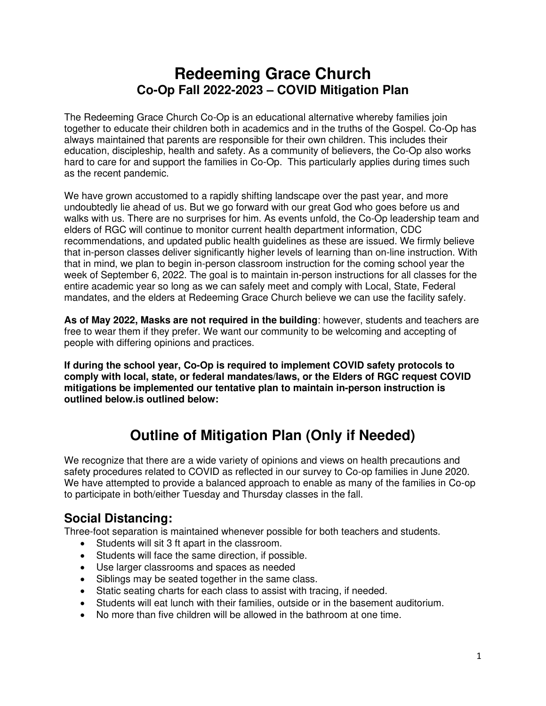# **Redeeming Grace Church Co-Op Fall 2022-2023 – COVID Mitigation Plan**

The Redeeming Grace Church Co-Op is an educational alternative whereby families join together to educate their children both in academics and in the truths of the Gospel. Co-Op has always maintained that parents are responsible for their own children. This includes their education, discipleship, health and safety. As a community of believers, the Co-Op also works hard to care for and support the families in Co-Op. This particularly applies during times such as the recent pandemic.

We have grown accustomed to a rapidly shifting landscape over the past year, and more undoubtedly lie ahead of us. But we go forward with our great God who goes before us and walks with us. There are no surprises for him. As events unfold, the Co-Op leadership team and elders of RGC will continue to monitor current health department information, CDC recommendations, and updated public health guidelines as these are issued. We firmly believe that in-person classes deliver significantly higher levels of learning than on-line instruction. With that in mind, we plan to begin in-person classroom instruction for the coming school year the week of September 6, 2022. The goal is to maintain in-person instructions for all classes for the entire academic year so long as we can safely meet and comply with Local, State, Federal mandates, and the elders at Redeeming Grace Church believe we can use the facility safely.

**As of May 2022, Masks are not required in the building**: however, students and teachers are free to wear them if they prefer. We want our community to be welcoming and accepting of people with differing opinions and practices.

**If during the school year, Co-Op is required to implement COVID safety protocols to comply with local, state, or federal mandates/laws, or the Elders of RGC request COVID mitigations be implemented our tentative plan to maintain in-person instruction is outlined below.is outlined below:** 

# **Outline of Mitigation Plan (Only if Needed)**

We recognize that there are a wide variety of opinions and views on health precautions and safety procedures related to COVID as reflected in our survey to Co-op families in June 2020. We have attempted to provide a balanced approach to enable as many of the families in Co-op to participate in both/either Tuesday and Thursday classes in the fall.

#### **Social Distancing:**

Three-foot separation is maintained whenever possible for both teachers and students.

- Students will sit 3 ft apart in the classroom.
- Students will face the same direction, if possible.
- Use larger classrooms and spaces as needed
- Siblings may be seated together in the same class.
- Static seating charts for each class to assist with tracing, if needed.
- Students will eat lunch with their families, outside or in the basement auditorium.
- No more than five children will be allowed in the bathroom at one time.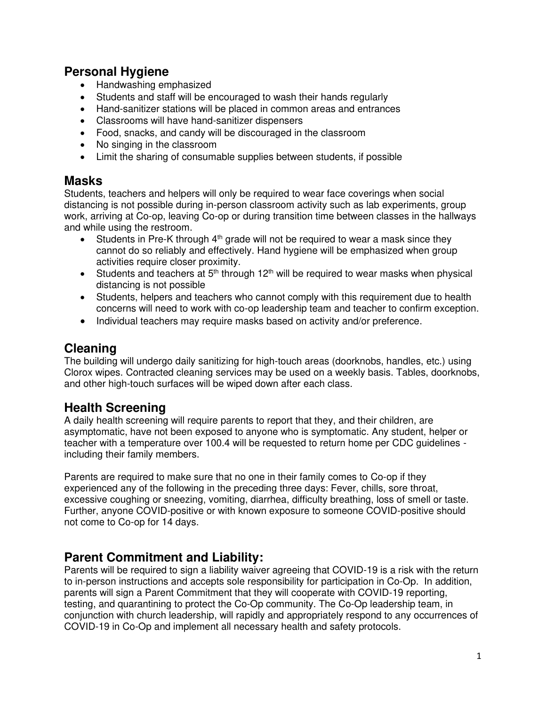#### **Personal Hygiene**

- Handwashing emphasized
- Students and staff will be encouraged to wash their hands regularly
- Hand-sanitizer stations will be placed in common areas and entrances
- Classrooms will have hand-sanitizer dispensers
- Food, snacks, and candy will be discouraged in the classroom
- No singing in the classroom
- Limit the sharing of consumable supplies between students, if possible

#### **Masks**

Students, teachers and helpers will only be required to wear face coverings when social distancing is not possible during in-person classroom activity such as lab experiments, group work, arriving at Co-op, leaving Co-op or during transition time between classes in the hallways and while using the restroom.

- Students in Pre-K through  $4<sup>th</sup>$  grade will not be required to wear a mask since they cannot do so reliably and effectively. Hand hygiene will be emphasized when group activities require closer proximity.
- Students and teachers at  $5<sup>th</sup>$  through 12<sup>th</sup> will be required to wear masks when physical distancing is not possible
- Students, helpers and teachers who cannot comply with this requirement due to health concerns will need to work with co-op leadership team and teacher to confirm exception.
- Individual teachers may require masks based on activity and/or preference.

### **Cleaning**

The building will undergo daily sanitizing for high-touch areas (doorknobs, handles, etc.) using Clorox wipes. Contracted cleaning services may be used on a weekly basis. Tables, doorknobs, and other high-touch surfaces will be wiped down after each class.

#### **Health Screening**

A daily health screening will require parents to report that they, and their children, are asymptomatic, have not been exposed to anyone who is symptomatic. Any student, helper or teacher with a temperature over 100.4 will be requested to return home per CDC guidelines including their family members.

Parents are required to make sure that no one in their family comes to Co-op if they experienced any of the following in the preceding three days: Fever, chills, sore throat, excessive coughing or sneezing, vomiting, diarrhea, difficulty breathing, loss of smell or taste. Further, anyone COVID-positive or with known exposure to someone COVID-positive should not come to Co-op for 14 days.

#### **Parent Commitment and Liability:**

Parents will be required to sign a liability waiver agreeing that COVID-19 is a risk with the return to in-person instructions and accepts sole responsibility for participation in Co-Op. In addition, parents will sign a Parent Commitment that they will cooperate with COVID-19 reporting, testing, and quarantining to protect the Co-Op community. The Co-Op leadership team, in conjunction with church leadership, will rapidly and appropriately respond to any occurrences of COVID-19 in Co-Op and implement all necessary health and safety protocols.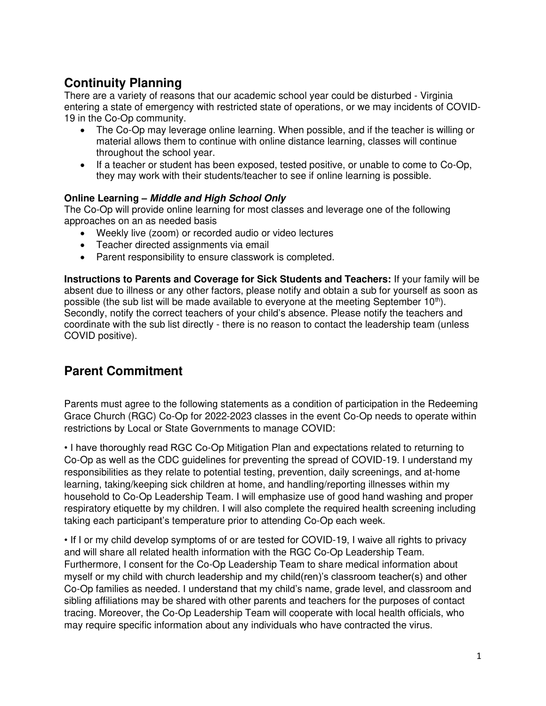## **Continuity Planning**

There are a variety of reasons that our academic school year could be disturbed - Virginia entering a state of emergency with restricted state of operations, or we may incidents of COVID-19 in the Co-Op community.

- The Co-Op may leverage online learning. When possible, and if the teacher is willing or material allows them to continue with online distance learning, classes will continue throughout the school year.
- If a teacher or student has been exposed, tested positive, or unable to come to Co-Op, they may work with their students/teacher to see if online learning is possible.

#### **Online Learning – Middle and High School Only**

The Co-Op will provide online learning for most classes and leverage one of the following approaches on an as needed basis

- Weekly live (zoom) or recorded audio or video lectures
- Teacher directed assignments via email
- Parent responsibility to ensure classwork is completed.

**Instructions to Parents and Coverage for Sick Students and Teachers:** If your family will be absent due to illness or any other factors, please notify and obtain a sub for yourself as soon as possible (the sub list will be made available to everyone at the meeting September  $10<sup>th</sup>$ ). Secondly, notify the correct teachers of your child's absence. Please notify the teachers and coordinate with the sub list directly - there is no reason to contact the leadership team (unless COVID positive).

#### **Parent Commitment**

Parents must agree to the following statements as a condition of participation in the Redeeming Grace Church (RGC) Co-Op for 2022-2023 classes in the event Co-Op needs to operate within restrictions by Local or State Governments to manage COVID:

• I have thoroughly read RGC Co-Op Mitigation Plan and expectations related to returning to Co-Op as well as the CDC guidelines for preventing the spread of COVID-19. I understand my responsibilities as they relate to potential testing, prevention, daily screenings, and at-home learning, taking/keeping sick children at home, and handling/reporting illnesses within my household to Co-Op Leadership Team. I will emphasize use of good hand washing and proper respiratory etiquette by my children. I will also complete the required health screening including taking each participant's temperature prior to attending Co-Op each week.

• If I or my child develop symptoms of or are tested for COVID-19, I waive all rights to privacy and will share all related health information with the RGC Co-Op Leadership Team. Furthermore, I consent for the Co-Op Leadership Team to share medical information about myself or my child with church leadership and my child(ren)'s classroom teacher(s) and other Co-Op families as needed. I understand that my child's name, grade level, and classroom and sibling affiliations may be shared with other parents and teachers for the purposes of contact tracing. Moreover, the Co-Op Leadership Team will cooperate with local health officials, who may require specific information about any individuals who have contracted the virus.